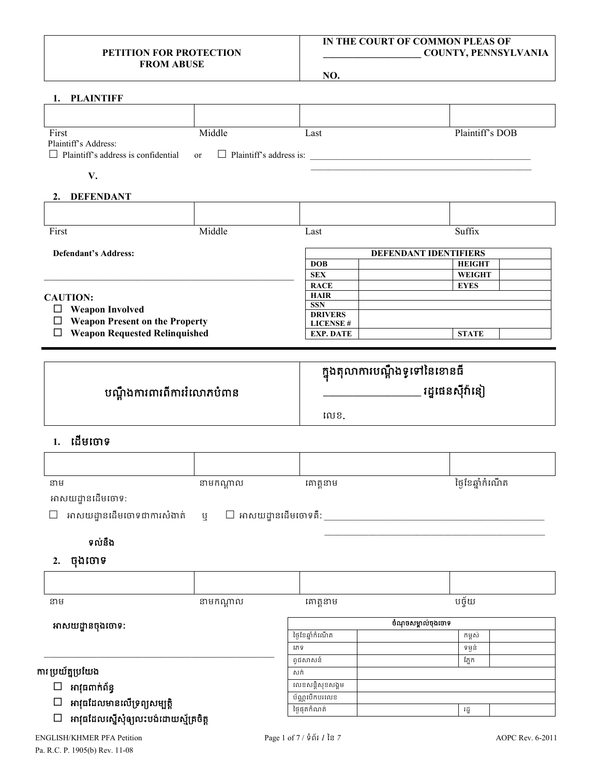#### **PETITION FOR PROTECTION FROM ABUSE**

#### **IN THE COURT OF COMMON PLEAS OF \_\_\_\_\_\_\_\_\_\_\_\_\_\_\_\_\_\_\_\_ COUNTY, PENNSYLVANIA**

**NO.**

| 1. PLAINTIFF                                                                                |                                       |                                             |                              |
|---------------------------------------------------------------------------------------------|---------------------------------------|---------------------------------------------|------------------------------|
|                                                                                             |                                       |                                             |                              |
| First<br>Plaintiff's Address:<br>Plaintiff's address is confidential                        | Middle<br>or                          | Last                                        | Plaintiff's DOB              |
| V.                                                                                          |                                       |                                             |                              |
| 2. DEFENDANT                                                                                |                                       |                                             |                              |
|                                                                                             |                                       |                                             |                              |
| First                                                                                       | Middle                                |                                             | Suffix                       |
|                                                                                             |                                       | Last                                        |                              |
| <b>Defendant's Address:</b>                                                                 |                                       |                                             | DEFENDANT IDENTIFIERS        |
|                                                                                             |                                       | <b>DOB</b>                                  | <b>HEIGHT</b>                |
|                                                                                             |                                       | <b>SEX</b><br><b>RACE</b>                   | <b>WEIGHT</b><br><b>EYES</b> |
| <b>CAUTION:</b>                                                                             |                                       | <b>HAIR</b>                                 |                              |
| $\Box$ Weapon Involved                                                                      |                                       | <b>SSN</b>                                  |                              |
| $\Box$ Weapon Present on the Property                                                       |                                       | <b>DRIVERS</b><br><b>LICENSE#</b>           |                              |
| $\Box$ Weapon Requested Relinquished                                                        |                                       | <b>EXP. DATE</b>                            | <b>STATE</b>                 |
|                                                                                             |                                       |                                             |                              |
|                                                                                             |                                       | <mark>ក្នុងតុលាការបណ្តឹងទូទៅនៃខោនធ</mark> ី |                              |
|                                                                                             | បណ្តឹងការពារពីការរំលោភបំពាន           |                                             |                              |
|                                                                                             |                                       |                                             |                              |
|                                                                                             |                                       | លេខ.                                        |                              |
| 1. ដើមចោទ                                                                                   |                                       |                                             |                              |
|                                                                                             |                                       |                                             |                              |
| នាម                                                                                         | នាមកណ្តាល                             | គោត្តនាម                                    | ថ្ងៃខែឆ្នាំកំណើត             |
| អាសយដ្ឋានដើមចោទ:                                                                            |                                       |                                             |                              |
| $\Box$ អាសយដ្ឋានដើមចោទជាការសំងាត់                                                           | $\mathbf y = \Box$ អាសយដ្ឋានដើមចោទគឺ: |                                             |                              |
|                                                                                             |                                       |                                             |                              |
| ទល់នឹង                                                                                      |                                       |                                             |                              |
|                                                                                             |                                       |                                             |                              |
| ចុងចោទ<br>2.                                                                                |                                       |                                             |                              |
|                                                                                             |                                       |                                             |                              |
| នាម                                                                                         | នាមកណ្តាល                             | គោត្តនាម                                    | បច្ច័យ                       |
|                                                                                             |                                       |                                             |                              |
| អាសយដ្ឋានចុងចោទ:                                                                            |                                       |                                             | ចំណុចសម្គាល់ចុងចោទ           |
|                                                                                             |                                       | ថ្ងៃខែឆ្នាំកំណើត                            | កម្ពស់                       |
|                                                                                             |                                       | រភទ                                         | ទម្ងន់                       |
|                                                                                             |                                       |                                             |                              |
|                                                                                             |                                       | ពូជសាសន៍<br>សក់                             | ភ្នែក                        |
|                                                                                             |                                       |                                             |                              |
| អាវុធពាក់ព័ន្ធ<br>$\Box$                                                                    |                                       | លេខសន្តិសុខសង្គម                            |                              |
| ការ ប្រយ័ត្នប្រយែង<br>អាវុធដែលមានលើទ្រព្យសម្បត្តិ<br>អាវុធដែលស្នើសុំឲ្យលះបង់ដោយស្ម័គ្រចិត្ត |                                       | ប័ណ្ណបើកបរលេខ<br>ថ្ងៃផុតកំណត់               | រដ្ឋ                         |

ENGLISH/KHMER PFA Petition Page 1 of 7 / ទំព័រ *1* ៃន *7* AOPC Rev. 6-2011 Pa. R.C. P. 1905(b) Rev. 11-08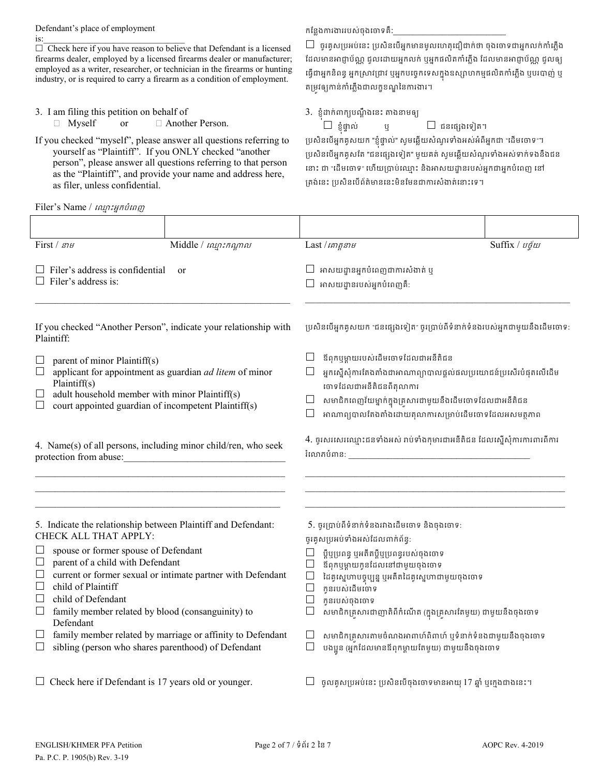Defendant's place of employment  $is:$ 

 $\Box$  Check here if you have reason to believe that Defendant is a licensed firearms dealer, employed by a licensed firearms dealer or manufacturer; employed as a writer, researcher, or technician in the firearms or hunting industry, or is required to carry a firearm as a condition of employment.

- 3. I am filing this petition on behalf of
	- $\Box$  Myself or  $\Box$  Another Person.

If you checked "myself", please answer all questions referring to yourself as "Plaintiff". If you ONLY checked "another person", please answer all questions referring to that person as the "Plaintiff", and provide your name and address here, as filer, unless confidential.

Filer's Name /  $nqq$  : អ្នកបំពេញ

## កន្លែងការងាររបស់ចុងចោទគឺ:

 $\Box$  ចូរគូសប្រអប់នេះ ប្រសិនបើអ្នកមានមូលហេតុជឿជាក់ថា ចុងចោទជាអ្នកលក់កាំភ្លើង ដែលមានអាជ្ញាប័ណ្ណ ជួលដោយអ្នកលក់ ឬអ្នកផលិតកាំភ្លើង ដែលមានអាជ្ញាប័ណ្ណ ជួលឲ្យ ធ្វេជាអ្នកនពន្ធ អ្នកស្រាវជ្រាវ ឬអ្នកបច្ចេកទេសក្នុងឧស្សាហកម្មផលតកាភ្លេង ឬបរបាញ់ ឬ តម្រវឲ្យកាន់កាំភ្លើងជាលក្ខខណ្ឌនៃការងារ។

3. ខ្ញុំដាក់ពាក្យបណ្តឹងនេះ តាងនាមឲ្យ

 $\square$  ខ្ញុំផ្ទាល់

 $\mathfrak{g} \qquad \qquad \Box$  ជនផ្សេងទៀត។

ប្រសនបេអ្នកគូសយក "ខ្ញុំផ្ទាល" សូមឆ្លេយសំណូរទាំងអស់អំពីអ្នកជា "ដើមចោទ"។ ប្រសិនបើអ្នកគូសតែ "ជនផ្សេងទៀត" មួយគត់ សូមឆ្លើយសំណួរទាំងអស់ទាក់ទងនឹងជន នោះ ជា "ដើមចោទ" ហើយប្រាប់ឈ្មោះ និងអាសយដ្ឋានរបស់អ្នកជាអ្នកបំពេញ នៅ គ្រង់នេះ ប្រសិនបើព័ត៌មាននេះមិនមែនជាការសំងាត់នោះទេ។

| First / $s21$                                                                                                                                                                                                                                                                                                                                                                                                                                                             | Middle / min:numn | Last $\ln n$                                                                                                                                                                                                                                                                                                                                                                                                                                                    |  | Suffix / $v\tilde{q}w$ |
|---------------------------------------------------------------------------------------------------------------------------------------------------------------------------------------------------------------------------------------------------------------------------------------------------------------------------------------------------------------------------------------------------------------------------------------------------------------------------|-------------------|-----------------------------------------------------------------------------------------------------------------------------------------------------------------------------------------------------------------------------------------------------------------------------------------------------------------------------------------------------------------------------------------------------------------------------------------------------------------|--|------------------------|
| $\Box$ Filer's address is confidential<br>or<br>$\Box$ Filer's address is:                                                                                                                                                                                                                                                                                                                                                                                                |                   | អាសយដ្ឋានអ្នកបំពេញជាការសំងាត់ ឬ<br>$\Box$ អាសយដ្ឋានរបស់អ្នកបំពេញគឺ:                                                                                                                                                                                                                                                                                                                                                                                             |  |                        |
| If you checked "Another Person", indicate your relationship with<br>Plaintiff:                                                                                                                                                                                                                                                                                                                                                                                            |                   | ប្រសិនបើអ្នកគូសយក "ជនផ្សេងទៀត" ចូរប្រាប់ពីទំនាក់ទំនងរបស់អ្នកជាមួយនឹងដើមចោទ:                                                                                                                                                                                                                                                                                                                                                                                     |  |                        |
| parent of minor Plaintiff(s)<br>applicant for appointment as guardian ad litem of minor<br>Plaintiff(s)<br>adult household member with minor Plaintiff(s)<br>court appointed guardian of incompetent Plaintiff(s)                                                                                                                                                                                                                                                         |                   | ឪពុកឬម្ដាយរបស់ដើមចោទដែលជាអនីតិជន<br>$\Box$<br>អ្នកស្នើសុំការតែងតាំងជាអាណាព្យាបាលផ្តល់ផលប្រយោជន៍ប្រសើរបំផុតលើដើម<br>$\Box$<br>ចោទដែលជាអនីតិជនពីតុលាការ<br>សមាជិកពេញវ័យម្នាក់ក្នុងគ្រសារជាមួយនឹងដើមចោទដែលជាអនីតិជន<br>អាណាព្យបាលតែងតាំងដោយតុលាការសម្រាប់ដើមចោទដែលអសមត្ថភាព<br>$\vert \ \ \vert$                                                                                                                                                                   |  |                        |
| 4. Name(s) of all persons, including minor child/ren, who seek                                                                                                                                                                                                                                                                                                                                                                                                            |                   | 4. ចូរសរសេរឈ្មោះជនទាំងអស់ រាប់ទាំងកុមារជាអនីតិជន ដែលស្នើសុំការការពារពីការ                                                                                                                                                                                                                                                                                                                                                                                       |  |                        |
| 5. Indicate the relationship between Plaintiff and Defendant:<br>CHECK ALL THAT APPLY:<br>spouse or former spouse of Defendant<br>parent of a child with Defendant<br>current or former sexual or intimate partner with Defendant<br>ப<br>child of Plaintiff<br>child of Defendant<br>family member related by blood (consanguinity) to<br>Defendant<br>family member related by marriage or affinity to Defendant<br>sibling (person who shares parenthood) of Defendant |                   | 5. ចូរប្រាប់ពីទំនាក់ទំនងរវាងដើមចោទ និងចុងចោទ:<br>ចូរគូសប្រអប់ទាំងអស់ដែលពាក់ព័ន្ធ:<br>ប្តីឬប្រពន្ធ ឬអតីតប្តីឬប្រពន្ធរបស់ចុងចោទ<br>ឪពុកឬម្ដាយកូនដែលនៅជាមួយចុងចោទ<br>ដៃគូស្នេហាបច្ចុប្បន្ន ឬអតីតដៃគូស្នេហាជាមួយចុងចោទ<br>កូនរបស់ដើមចោទ<br>$\Box$<br>កូនរបស់ចុងចោទ<br>$\Box$<br>សមាជិកគ្រសារជាញាតិពីកំណើត (ក្នុងគ្រួសារតែមួយ) ជាមួយនឹងចុងចោទ<br>⊔<br>សមាជិកគ្រសារតាមចំណងអាពាហ៍ពិពាហ៍ ឬទំនាក់ទំនងជាមួយនឹងចុងចោទ<br>បងប្អូន (អ្នកដែលមានឪពុកម្តាយតែមួយ) ជាមួយនឹងចុងចោទ |  |                        |
| $\Box$ Check here if Defendant is 17 years old or younger.                                                                                                                                                                                                                                                                                                                                                                                                                |                   | $\Box$ ចូលគូសប្រអប់នេះ ប្រសិនបើចុងចោទមានអាយុ 17 ឆ្នាំ ឬក្មេងជាងនេះ។                                                                                                                                                                                                                                                                                                                                                                                             |  |                        |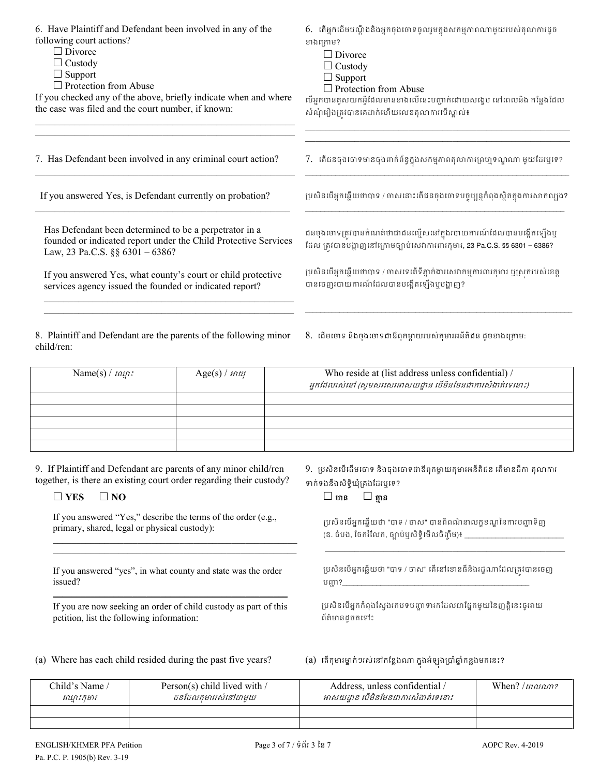| 6. Have Plaintiff and Defendant been involved in any of the<br>following court actions?<br>$\Box$ Divorce<br>$\Box$ Custody<br>$\Box$ Support<br>$\Box$ Protection from Abuse<br>If you checked any of the above, briefly indicate when and where<br>the case was filed and the court number, if known: |                 | 6. តើអ្នកដើមបណ្តឹងនិងអ្នកចុងចោទចូលរួមក្នុងសកម្មភាពណាមួយរបស់តុលាការដូច<br>ខាងក្រោម?<br>$\Box$ Divorce<br>$\Box$ Custody<br>$\Box$ Support<br>$\Box$ Protection from Abuse<br>បើអ្នកបានគូសយកអ្វីដែលមានខាងលើនេះបញ្ជាក់ដោយសង្ខេប នៅពេលនិង កន្លែងដែល<br>សំណុំរឿងត្រវបានគេដាក់ហើយលេខតុលាការបើស្គាល់៖ |  |  |
|---------------------------------------------------------------------------------------------------------------------------------------------------------------------------------------------------------------------------------------------------------------------------------------------------------|-----------------|------------------------------------------------------------------------------------------------------------------------------------------------------------------------------------------------------------------------------------------------------------------------------------------------|--|--|
| 7. Has Defendant been involved in any criminal court action?                                                                                                                                                                                                                                            |                 | 7. តើជនចុងចោទមានចុងពាក់ព័ន្ធក្នុងសកម្មភាពតុលាការព្រហ្មទណ្ឌណា មួយដែរឬទេ?                                                                                                                                                                                                                        |  |  |
| If you answered Yes, is Defendant currently on probation?                                                                                                                                                                                                                                               |                 | ប្រសិនបើអ្នកឆ្លើយថាបាទ / ចាសនោះតើជនចុងចោទបច្ចុប្បន្នកំពុងស្ថិតក្នុងការសាកល្បង?                                                                                                                                                                                                                 |  |  |
| Has Defendant been determined to be a perpetrator in a<br>founded or indicated report under the Child Protective Services<br>Law, 23 Pa.C.S. §§ 6301 - 6386?<br>If you answered Yes, what county's court or child protective<br>services agency issued the founded or indicated report?                 |                 | ជនចុងចោទត្រូវបានកំណត់ថាជាជនល្មើសនៅក្នុងរបាយការណ៍ដែលបានបង្កើតឡើងឬ<br>ដែល ត្រូវបានបង្ហាញនៅក្រោមច្បាប់សេវាការពារកុមារ, 23 Pa.C.S. §§ 6301 – 6386?<br>ប្រសិនបើអ្នកឆ្លើយថាបាទ / ចាសទេតើទីភ្នាក់ងារសេវាកម្មការពារកុមារ ឬស្រករបស់ខេត្ត<br>បានចេញរបាយការណ៍ដែលបានបង្កើតឡើងឬបង្ហាញ?                      |  |  |
| 8. Plaintiff and Defendant are the parents of the following minor<br>child/ren:                                                                                                                                                                                                                         |                 | 8. ដើមចោទ និងចុងចោទជាឪពុកម្តាយរបស់កុមារអនីតិជន ដូចខាងក្រោម:                                                                                                                                                                                                                                    |  |  |
| Name(s) / $n\omega$ :                                                                                                                                                                                                                                                                                   | $Age(s) / m$ tt | Who reside at (list address unless confidential) /<br>អ្នកដែលរស់នៅ (សូមសរសេរអាសយដ្ឋាន បើមិនមែនជាការសំងាត់ទេនោះ)                                                                                                                                                                                |  |  |
|                                                                                                                                                                                                                                                                                                         |                 |                                                                                                                                                                                                                                                                                                |  |  |
|                                                                                                                                                                                                                                                                                                         |                 |                                                                                                                                                                                                                                                                                                |  |  |
|                                                                                                                                                                                                                                                                                                         |                 |                                                                                                                                                                                                                                                                                                |  |  |
|                                                                                                                                                                                                                                                                                                         |                 |                                                                                                                                                                                                                                                                                                |  |  |
| 9. If Plaintiff and Defendant are parents of any minor child/ren<br>together, is there an existing court order regarding their custody?<br>$\square$ YES<br>$\square$ NO                                                                                                                                |                 | 9. ប្រសិនបើដើមចោទ និងចុងចោទជាឪពុកម្តាយកុមារអនីតិជន តើមានដីកា តុលាការ<br>ទាក់ទងនឹងសិទ្ធិឃុំគ្រងដែរឬទេ?<br>$\square$ គ្មាន<br>$\square$ មាន                                                                                                                                                      |  |  |

If you answered "Yes," describe the terms of the order (e.g., primary, shared, legal or physical custody):  $\mathcal{L}_\text{max}$  and  $\mathcal{L}_\text{max}$  and  $\mathcal{L}_\text{max}$  and  $\mathcal{L}_\text{max}$  and  $\mathcal{L}_\text{max}$ 

If you answered "yes", in what county and state was the order issued? \_\_\_\_\_\_\_\_\_\_\_\_\_\_\_\_\_\_\_\_\_\_\_\_\_\_\_\_\_\_\_\_\_\_\_\_\_\_\_\_\_\_\_\_\_\_\_\_\_\_

 $\mathcal{L}_\text{max}$  , and the contract of the contract of the contract of the contract of the contract of the contract of

If you are now seeking an order of child custody as part of this petition, list the following information:

## $\square$  មាន  $\square$  គ្មាន

្រេសិនបើអ្នកឆ្លើយថា "បាទ / ចាស" បានពិពណ៌នាលក្ខខណ្ឌនៃការបញ្ហាទិញ (ឧ. ចំបង, ចែករំលែក, ច្បាប់ឬសិទ្ធិមើលចិញ្ចឹម)៖ \_\_\_\_\_\_\_\_\_\_\_

 $\mathcal{L}_\text{max} = \frac{1}{2} \sum_{i=1}^{n} \frac{1}{2} \sum_{i=1}^{n} \frac{1}{2} \sum_{i=1}^{n} \frac{1}{2} \sum_{i=1}^{n} \frac{1}{2} \sum_{i=1}^{n} \frac{1}{2} \sum_{i=1}^{n} \frac{1}{2} \sum_{i=1}^{n} \frac{1}{2} \sum_{i=1}^{n} \frac{1}{2} \sum_{i=1}^{n} \frac{1}{2} \sum_{i=1}^{n} \frac{1}{2} \sum_{i=1}^{n} \frac{1}{2} \sum_{i=1}^{n} \frac{1$ 

្របសិនបើអ្នកឆ្លើយថា "បាទ / ចាស" តើនៅខោនធីនិងរដ្ឋណាដែលត្រូវបានចេញ បញ្ហា?\_

ប្រសិនបើអ្នកកំពុងស្វែងរកបទបញ្ញាទារកដែលជាផ្នែកមួយនៃញត្តិនេះចូររាយ ព័ត៌មានដូចតេទ៖

(a) Where has each child resided during the past five years?

# ងអឡុងប្រាឆ្នាកន្លងមកនេះ?

| Child's Name /<br>ឈ្មោះកុមារ | Person(s) child lived with /<br>ជនដែលកមាររស់នៅជាមយ | Address, unless confidential /<br>អាសយដ្ឋាន បើមិនមែនជាការសំងាត់ទេនោះ | When? $\mu$ ansam? |
|------------------------------|----------------------------------------------------|----------------------------------------------------------------------|--------------------|
|                              |                                                    |                                                                      |                    |
|                              |                                                    |                                                                      |                    |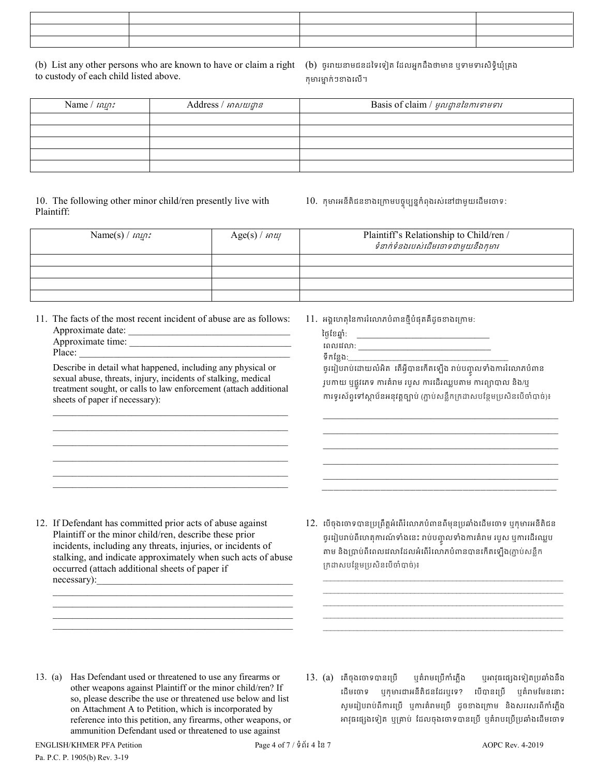(b) List any other persons who are known to have or claim a right to custody of each child listed above.

(b) ចូររាយនាមជនដទៃទៀត ដែលអ្នកដឹងថាមាន ឬទាមទារសិទិ្ធឃុំគ្រង កុមារម្នាក់ៗខាងលើ។

| Name $/$ $n\omega$ : | Address / អាសយដ្ឋាន | Basis of claim / <i>មូលដ្ឋាននៃការទាមទារ</i> |
|----------------------|---------------------|---------------------------------------------|
|                      |                     |                                             |
|                      |                     |                                             |
|                      |                     |                                             |
|                      |                     |                                             |
|                      |                     |                                             |

10. The following other minor child/ren presently live with Plaintiff:

10. កុមារអនីតិជនខាងក្រោមបច្ចុប្បន្នកំពុងរស់នៅជាមួយដើមចោទ:

| Name(s) / $nqr$ : | $Age(s) / m\omega$ | Plaintiff's Relationship to Child/ren /<br>ទំនាក់ទំនងរបស់ដើមចោទជាមួយនឹងកុមារ |
|-------------------|--------------------|------------------------------------------------------------------------------|
|                   |                    |                                                                              |
|                   |                    |                                                                              |
|                   |                    |                                                                              |
|                   |                    |                                                                              |

11. The facts of the most recent incident of abuse are as follows: Approximate date: \_\_\_\_\_\_\_\_\_\_\_\_\_\_\_\_\_\_\_\_\_\_\_\_\_\_\_\_\_\_\_\_\_ Approximate time: \_\_\_\_\_\_\_\_\_\_\_\_\_\_\_\_\_\_\_\_\_\_\_\_\_\_\_\_\_\_\_\_\_

| <i>i</i> ippionimate thine: |  |
|-----------------------------|--|
| Place                       |  |

Describe in detail what happened, including any physical or sexual abuse, threats, injury, incidents of stalking, medical treatment sought, or calls to law enforcement (attach additional sheets of paper if necessary):

 $\mathcal{L}_\text{max}$  and  $\mathcal{L}_\text{max}$  and  $\mathcal{L}_\text{max}$  and  $\mathcal{L}_\text{max}$  and  $\mathcal{L}_\text{max}$  $\mathcal{L}_\mathcal{L} = \{ \mathcal{L}_\mathcal{L} = \{ \mathcal{L}_\mathcal{L} = \{ \mathcal{L}_\mathcal{L} = \{ \mathcal{L}_\mathcal{L} = \{ \mathcal{L}_\mathcal{L} = \{ \mathcal{L}_\mathcal{L} = \{ \mathcal{L}_\mathcal{L} = \{ \mathcal{L}_\mathcal{L} = \{ \mathcal{L}_\mathcal{L} = \{ \mathcal{L}_\mathcal{L} = \{ \mathcal{L}_\mathcal{L} = \{ \mathcal{L}_\mathcal{L} = \{ \mathcal{L}_\mathcal{L} = \{ \mathcal{L}_\mathcal{$  $\mathcal{L}_\mathcal{L} = \{ \mathcal{L}_\mathcal{L} = \{ \mathcal{L}_\mathcal{L} = \{ \mathcal{L}_\mathcal{L} = \{ \mathcal{L}_\mathcal{L} = \{ \mathcal{L}_\mathcal{L} = \{ \mathcal{L}_\mathcal{L} = \{ \mathcal{L}_\mathcal{L} = \{ \mathcal{L}_\mathcal{L} = \{ \mathcal{L}_\mathcal{L} = \{ \mathcal{L}_\mathcal{L} = \{ \mathcal{L}_\mathcal{L} = \{ \mathcal{L}_\mathcal{L} = \{ \mathcal{L}_\mathcal{L} = \{ \mathcal{L}_\mathcal{$  $\mathcal{L}_\text{max}$  and  $\mathcal{L}_\text{max}$  and  $\mathcal{L}_\text{max}$  and  $\mathcal{L}_\text{max}$  and  $\mathcal{L}_\text{max}$  $\mathcal{L}_\text{max}$  and  $\mathcal{L}_\text{max}$  and  $\mathcal{L}_\text{max}$  and  $\mathcal{L}_\text{max}$  and  $\mathcal{L}_\text{max}$  $\mathcal{L}_\text{max}$  and  $\mathcal{L}_\text{max}$  and  $\mathcal{L}_\text{max}$  and  $\mathcal{L}_\text{max}$  and  $\mathcal{L}_\text{max}$  11. អង្គហេតុនៃការរំលោភបំពានថ្មីបំផុតគឺដូចខាងក្រោម:

| ថ្ងៃខែឆ្នាំ:                                                                 |
|------------------------------------------------------------------------------|
| ពេលវេលា:                                                                     |
| ទឹកន្លែង:_                                                                   |
| ច្ចររៀបរាប់ដោយលំអិត តើអ្វីបានកើតឡើង រាប់បញ្ចូលទាំងការរំលោភបំពាន              |
| រូបកាយ ឬផ្លូវភេទ ការគំរាម របួស ការដើរឈ្លបតាម ការព្យាបាល និង/ឬ                |
| ការទូរស័ព្ទទៅស្ថាប័នអនុវត្តច្បាប់ (ភ្ជាប់សន្លឹកក្រដាសបន្ថែមប្រសិនបើចាំបាច់)៖ |

 $\mathcal{L}_\text{max} = \mathcal{L}_\text{max} = \mathcal{L}_\text{max} = \mathcal{L}_\text{max} = \mathcal{L}_\text{max} = \mathcal{L}_\text{max} = \mathcal{L}_\text{max} = \mathcal{L}_\text{max} = \mathcal{L}_\text{max} = \mathcal{L}_\text{max} = \mathcal{L}_\text{max} = \mathcal{L}_\text{max} = \mathcal{L}_\text{max} = \mathcal{L}_\text{max} = \mathcal{L}_\text{max} = \mathcal{L}_\text{max} = \mathcal{L}_\text{max} = \mathcal{L}_\text{max} = \mathcal{$  $\mathcal{L}_\text{max} = \mathcal{L}_\text{max} = \mathcal{L}_\text{max} = \mathcal{L}_\text{max} = \mathcal{L}_\text{max} = \mathcal{L}_\text{max} = \mathcal{L}_\text{max} = \mathcal{L}_\text{max} = \mathcal{L}_\text{max} = \mathcal{L}_\text{max} = \mathcal{L}_\text{max} = \mathcal{L}_\text{max} = \mathcal{L}_\text{max} = \mathcal{L}_\text{max} = \mathcal{L}_\text{max} = \mathcal{L}_\text{max} = \mathcal{L}_\text{max} = \mathcal{L}_\text{max} = \mathcal{$ \_\_\_\_\_\_\_\_\_\_\_\_\_\_\_\_\_\_\_\_\_\_\_\_\_\_\_\_\_\_\_\_\_\_\_\_\_\_\_\_\_\_\_\_\_\_\_\_ \_\_\_\_\_\_\_\_\_\_\_\_\_\_\_\_\_\_\_\_\_\_\_\_\_\_\_\_\_\_\_\_\_\_\_\_\_\_\_\_\_\_\_\_\_\_\_\_  $\mathcal{L}_\text{max} = \{ \mathcal{L}_\text{max} \mid \mathcal{L}_\text{max} \}$ \_\_\_\_\_\_\_\_\_\_\_\_\_\_\_\_\_\_\_\_\_\_\_\_\_\_\_\_\_\_\_\_\_\_\_\_\_\_\_\_

12. If Defendant has committed prior acts of abuse against Plaintiff or the minor child/ren, describe these prior incidents, including any threats, injuries, or incidents of stalking, and indicate approximately when such acts of abuse occurred (attach additional sheets of paper if necessary):

\_\_\_\_\_\_\_\_\_\_\_\_\_\_\_\_\_\_\_\_\_\_\_\_\_\_\_\_\_\_\_\_\_\_\_\_\_\_\_\_\_\_\_\_\_\_\_\_\_

\_\_\_\_\_\_\_\_\_\_\_\_\_\_\_\_\_\_\_\_\_\_\_\_\_\_\_\_\_\_\_\_\_\_\_\_\_\_\_\_\_\_\_\_\_\_\_\_\_ \_\_\_\_\_\_\_\_\_\_\_\_\_\_\_\_\_\_\_\_\_\_\_\_\_\_\_\_\_\_\_\_\_\_\_\_\_\_\_\_\_\_\_\_\_\_\_\_\_ 12. េបើចុងចោទបានប្រព្រឹត្តអំពើរំលោភបំពានពីមុនប្រឆាំងដើមចោទ ឬកុមារអនីតិជន ចូរព្យបរាបពលោគុការណទាងនេះ រាបបញ្ចូលទាងការគរាម របួស ឬការដេរឈ្លប តាម និងប្រាប់ពីពេលវេលាដែលអំពើរំលោភបំពានបានកើតឡើង(ភ្ជាប់សន្លឹក ្រកដសបែន�ម្របសិនេបចំបាច់)៖

\_\_\_\_\_\_\_\_\_\_\_\_\_\_\_\_\_\_\_\_\_\_\_\_\_\_\_\_\_\_\_\_\_\_\_\_\_\_\_\_\_\_\_\_\_\_\_\_\_\_\_\_\_\_\_\_\_\_\_\_\_\_\_ \_\_\_\_\_\_\_\_\_\_\_\_\_\_\_\_\_\_\_\_\_\_\_\_\_\_\_\_\_\_\_\_\_\_\_\_\_\_\_\_\_\_\_\_\_\_\_\_\_\_\_\_\_\_\_\_\_\_\_\_\_\_\_ \_\_\_\_\_\_\_\_\_\_\_\_\_\_\_\_\_\_\_\_\_\_\_\_\_\_\_\_\_\_\_\_\_\_\_\_\_\_\_\_\_\_\_\_\_\_\_\_\_\_\_\_\_\_\_\_\_\_\_\_\_\_\_ \_\_\_\_\_\_\_\_\_\_\_\_\_\_\_\_\_\_\_\_\_\_\_\_\_\_\_\_\_\_\_\_\_\_\_\_\_\_\_\_\_\_\_\_\_\_\_\_\_\_\_\_\_\_\_\_\_\_\_\_\_\_\_ \_\_\_\_\_\_\_\_\_\_\_\_\_\_\_\_\_\_\_\_\_\_\_\_\_\_\_\_\_\_\_\_\_\_\_\_\_\_\_\_\_\_\_\_\_\_\_\_\_\_\_\_\_\_\_\_\_\_\_\_\_\_\_

- 13. (a) Has Defendant used or threatened to use any firearms or other weapons against Plaintiff or the minor child/ren? If so, please describe the use or threatened use below and list on Attachment A to Petition, which is incorporated by reference into this petition, any firearms, other weapons, or ammunition Defendant used or threatened to use against
- 13. (a) តើចុងចោទបានប្រើ ឬគំរាមប្រើកាំភ្លើង ឬអាវុធផ្សេងទៀតប្រឆាំងនឹង េដមេចទ ឬកុមារជាអនីតិជនែដរឬេទ? េបបានេ្រប ឬគំរមែមនេនាះ សូមរៀបរាប់ពីការប្រើ ឬការគំរាមប្រើ ដូចខាងក្រោម និងសរសេរពីកាំភ្លើង អវុធេផ្សងេទៀត ឬ្រគាប់ ែដលចុងេចទបានេ្រប ឬគំរបេ្រប្របឆាំងេដមេចទ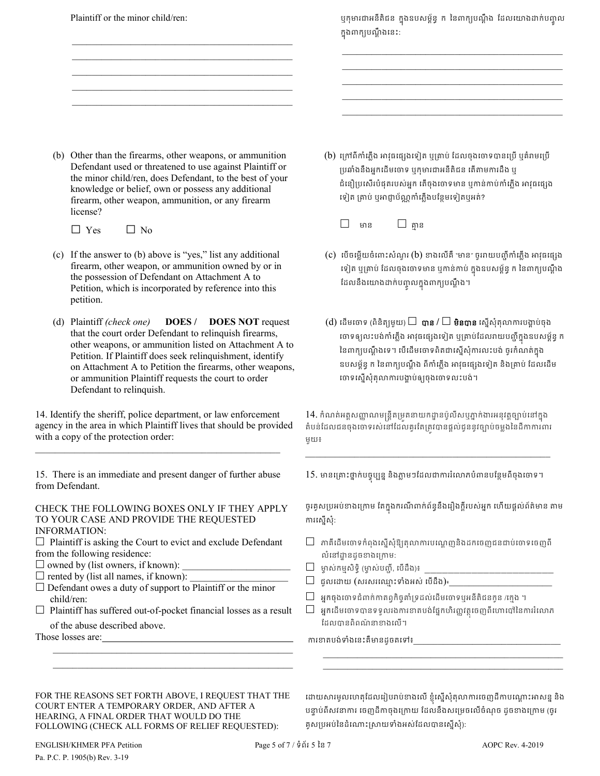Plaintiff or the minor child/ren:  $\mathcal{L}_\text{max}$  , and the set of the set of the set of the set of the set of the set of the set of the set of the set of the set of the set of the set of the set of the set of the set of the set of the set of the set of the  $\mathcal{L}=\underbrace{\mathcal{L}=\mathcal{L}=\mathcal{L}=\mathcal{L}=\mathcal{L}=\mathcal{L}=\mathcal{L}=\mathcal{L}=\mathcal{L}=\mathcal{L}=\mathcal{L}=\mathcal{L}=\mathcal{L}=\mathcal{L}=\mathcal{L}=\mathcal{L}=\mathcal{L}=\mathcal{L}=\mathcal{L}=\mathcal{L}=\mathcal{L}=\mathcal{L}=\mathcal{L}=\mathcal{L}=\mathcal{L}=\mathcal{L}=\mathcal{L}=\mathcal{L}=\mathcal{L}=\mathcal{L}=\mathcal{L}=\mathcal{L}=\mathcal{L}=\mathcal{L}=\mathcal{L}=\$  $\mathcal{L}_\text{max}$  , and the set of the set of the set of the set of the set of the set of the set of the set of the set of the set of the set of the set of the set of the set of the set of the set of the set of the set of the  $\mathcal{L}_\text{max}$  , and the set of the set of the set of the set of the set of the set of the set of the set of the set of the set of the set of the set of the set of the set of the set of the set of the set of the set of the  $\mathcal{L}=\underbrace{\mathcal{L}=\mathcal{L}=\mathcal{L}=\mathcal{L}=\mathcal{L}=\mathcal{L}=\mathcal{L}=\mathcal{L}=\mathcal{L}=\mathcal{L}=\mathcal{L}=\mathcal{L}=\mathcal{L}=\mathcal{L}=\mathcal{L}=\mathcal{L}=\mathcal{L}=\mathcal{L}=\mathcal{L}=\mathcal{L}=\mathcal{L}=\mathcal{L}=\mathcal{L}=\mathcal{L}=\mathcal{L}=\mathcal{L}=\mathcal{L}=\mathcal{L}=\mathcal{L}=\mathcal{L}=\mathcal{L}=\mathcal{L}=\mathcal{L}=\mathcal{L}=\mathcal{L}=\$  ឬកុមារជាអនតជន ក្នុងឧបសម្ពន្ធ ក នេពាក្យបណ្តុង ដែលយោងដាក់បញ្ចូល ក្នុងពាក្យបណ្តូងនេះ:

 $\mathcal{L}=\frac{1}{2} \sum_{i=1}^{n} \frac{1}{2} \sum_{j=1}^{n} \frac{1}{2} \sum_{j=1}^{n} \frac{1}{2} \sum_{j=1}^{n} \frac{1}{2} \sum_{j=1}^{n} \frac{1}{2} \sum_{j=1}^{n} \frac{1}{2} \sum_{j=1}^{n} \frac{1}{2} \sum_{j=1}^{n} \frac{1}{2} \sum_{j=1}^{n} \frac{1}{2} \sum_{j=1}^{n} \frac{1}{2} \sum_{j=1}^{n} \frac{1}{2} \sum_{j=1}^{n} \frac{1}{2} \sum_{$  $\mathcal{L}=\frac{1}{2} \sum_{i=1}^{n} \frac{1}{2} \sum_{j=1}^{n} \frac{1}{2} \sum_{j=1}^{n} \frac{1}{2} \sum_{j=1}^{n} \frac{1}{2} \sum_{j=1}^{n} \frac{1}{2} \sum_{j=1}^{n} \frac{1}{2} \sum_{j=1}^{n} \frac{1}{2} \sum_{j=1}^{n} \frac{1}{2} \sum_{j=1}^{n} \frac{1}{2} \sum_{j=1}^{n} \frac{1}{2} \sum_{j=1}^{n} \frac{1}{2} \sum_{j=1}^{n} \frac{1}{2} \sum_{$  \_\_\_\_\_\_\_\_\_\_\_\_\_\_\_\_\_\_\_\_\_\_\_\_\_\_\_\_\_\_\_\_\_\_\_\_\_\_\_\_\_\_\_\_\_ \_\_\_\_\_\_\_\_\_\_\_\_\_\_\_\_\_\_\_\_\_\_\_\_\_\_\_\_\_\_\_\_\_\_\_\_\_\_\_\_\_\_\_\_\_  $\mathcal{L}=\frac{1}{2} \sum_{i=1}^{n} \frac{1}{2} \sum_{j=1}^{n} \frac{1}{2} \sum_{j=1}^{n} \frac{1}{2} \sum_{j=1}^{n} \frac{1}{2} \sum_{j=1}^{n} \frac{1}{2} \sum_{j=1}^{n} \frac{1}{2} \sum_{j=1}^{n} \frac{1}{2} \sum_{j=1}^{n} \frac{1}{2} \sum_{j=1}^{n} \frac{1}{2} \sum_{j=1}^{n} \frac{1}{2} \sum_{j=1}^{n} \frac{1}{2} \sum_{j=1}^{n} \frac{1}{2} \sum_{$ 

(b) Other than the firearms, other weapons, or ammunition Defendant used or threatened to use against Plaintiff or the minor child/ren, does Defendant, to the best of your knowledge or belief, own or possess any additional firearm, other weapon, ammunition, or any firearm license?

 $\Box$  Yes  $\Box$  No

- (c) If the answer to (b) above is "yes," list any additional firearm, other weapon, or ammunition owned by or in the possession of Defendant on Attachment A to Petition, which is incorporated by reference into this petition.
- (d) Plaintiff *(check one)* **DOES / DOES NOT** request that the court order Defendant to relinquish firearms, other weapons, or ammunition listed on Attachment A to Petition. If Plaintiff does seek relinquishment, identify on Attachment A to Petition the firearms, other weapons, or ammunition Plaintiff requests the court to order Defendant to relinquish.

14. Identify the sheriff, police department, or law enforcement agency in the area in which Plaintiff lives that should be provided with a copy of the protection order:

15. There is an immediate and present danger of further abuse from Defendant.

\_\_\_\_\_\_\_\_\_\_\_\_\_\_\_\_\_\_\_\_\_\_\_\_\_\_\_\_\_\_\_\_\_\_\_\_\_\_\_\_\_\_\_\_\_\_\_\_\_\_

CHECK THE FOLLOWING BOXES ONLY IF THEY APPLY TO YOUR CASE AND PROVIDE THE REQUESTED INFORMATION:

- $\Box$  Plaintiff is asking the Court to evict and exclude Defendant from the following residence:
- $\square$  owned by (list owners, if known):
- $\square$  rented by (list all names, if known):
- $\square$  Defendant owes a duty of support to Plaintiff or the minor child/ren:
- $\Box$  Plaintiff has suffered out-of-pocket financial losses as a result

 $\mathcal{L}_\text{max}$  and  $\mathcal{L}_\text{max}$  and  $\mathcal{L}_\text{max}$  and  $\mathcal{L}_\text{max}$  and  $\mathcal{L}_\text{max}$ 

of the abuse described above.

Those losses are: \_\_\_\_\_\_\_\_\_\_\_\_\_\_\_\_\_\_\_\_\_\_\_\_\_\_\_\_\_\_\_\_\_\_\_\_\_\_\_\_\_\_\_\_\_\_\_\_\_

- (b) ក្រៅពីកាំភ្លើង អាវុធផ្សេងទៀត ឬគ្រាប់ ដែលចុងចោទបានប្រើ ឬគំរាមប្រើ ប្រឆាំងនឹងអ្នកដើមចោទ ឬកុមារជាអនីតិជន តើតាមការដឹង ឬ ជំនឿប្រសើរបំផុតរបស់អ្នក តើចុងចោទមាន ឬកាន់កាប់កាំភ្លើង អាវុធផ្សេង ទៀត គ្រាប់ ឬអាជ្ញាប័ណ្ណកាំភ្លើងបន្ថែមទៀតឬអត់?
	- □ មាន □ គា� ន
- (c) េបើចម្លើយចំពោះសំណួរ (b) ខាងលើគឺ "មាន" ចូររាយបញ្ជីកាំភ្លើង អាវុធផ្សេង ទៀត ឬគ្រាប់ ដេលចុងចោទមាន ឬកាន់កាប់ ក្នុងឧបសម្ពន្ធ ក់ នេពាក្យបណ្តុង ដែលនងយោងដាក់បញ្ចូលក្នុងពាក្យបណ្តង។
- $(d)$  ដើមចោទ (ពិនិត្យមួយ)  $\square$   $\boldsymbol{\mathsf{q}}$ ាន / $\square$  មិនបាន ស្នើសុំតុលាការបង្គាប់ចុង ចោទឲ្យលះបង់កាំភ្លេង អាវុធផ្សេងទៀត ឬគ្រាប់ដែលរាយបញ្ជក្នុងឧបសម្ពន្ធ ក នេពាក្យបណ្តូងទេ។ បេដេមចោទពតជាស្នេសុការលះបង់ ចូរកំណត់ក្នុង ឧបសម្ព័ន្ធ ក នៃពាក្យបណ្តឹង ពីកាំភ្លើង អាវុធផ្សេងទៀត និងគ្រាប់ ដែលដើម ចោទស្នើសុំតុលាការបង្គាប់ឲ្យចុងចោទលះបង់។

 $14$ . កំណត់អត្តសញ្ញាណមន្ត្រីតម្រូតនាយកដ្ឋានប៉ូលីសឬភ្នាក់ងារអនុវត្តច្បាប់នៅក្នុង គំបន់ដែលជនចុងចោទរស់នៅដែលគួរតែត្រូវបានផ្តល់ជូននូវច្បាប់ចម្លងនៃដីកាការពារ មួយ៖

15. មានគ្រោះថ្នាក់បច្ចុប្បន្ន និងភ្លាមៗដែលជាការរំលោភបំពានបន្ថែមពីចុងចោទ។

 $\mathcal{L}_\mathcal{L} = \{ \mathcal{L}_\mathcal{L} = \{ \mathcal{L}_\mathcal{L} = \{ \mathcal{L}_\mathcal{L} = \{ \mathcal{L}_\mathcal{L} = \{ \mathcal{L}_\mathcal{L} = \{ \mathcal{L}_\mathcal{L} = \{ \mathcal{L}_\mathcal{L} = \{ \mathcal{L}_\mathcal{L} = \{ \mathcal{L}_\mathcal{L} = \{ \mathcal{L}_\mathcal{L} = \{ \mathcal{L}_\mathcal{L} = \{ \mathcal{L}_\mathcal{L} = \{ \mathcal{L}_\mathcal{L} = \{ \mathcal{L}_\mathcal{$ 

ច្ចវគ្វសប្រអប់ខាងក្រោម តេក្នុងករណពាក់ពន្ធនងរៀងក្តីរបស់អ្នក ហេយផ្តល់ព័ត៌មាន តាម ករេស�សុំ:

- $\Box$  តាគឺដើមចោទកំពុងស្នើសុំឱ្យតុលាការបណ្តេញនិងដកចេញជនជាប់ចោទចេញពី លំនៅដ្ឋានដូចខាងក្រោម:
- $\Box$  ម្ចាស់កម្មសិទ្ធិ (ម្ចាស់បញ្ចី, បើដឹង)៖
- ជួលេដយ (សរសរេឈ� ះទំងអស់ េបដឹង)៖\_\_\_\_\_\_\_\_\_\_\_\_\_\_\_\_\_\_\_\_\_
- $\Box$  អ្នកចុងចោទជំពាក់កាតព្វកិច្ចគាំទ្រដល់ដើមចោទឬអនីតិជនកូន /ក្មេង ។
- $\Box$  អ្នកដើមចោទបានទទួលរងការខាតបង់ផ្នែកហិរញ្ញវត្ថុចេញពីហោប៉ៅនៃការរំលោភ ែដលបានពិពណ៌ នាខងេល។

ការខាតបង់ទាំងនេះគឺមានដូចតទៅ៖

FOR THE REASONS SET FORTH ABOVE, I REQUEST THAT THE COURT ENTER A TEMPORARY ORDER, AND AFTER A HEARING, A FINAL ORDER THAT WOULD DO THE FOLLOWING (CHECK ALL FORMS OF RELIEF REQUESTED):

ដោយសារមូលហេតុដែលរៀបរាបខាងលេ ខ្ញុំស្នេសុតុលាការចេញដីកាបណ្តោះអាសន្ន និង បន្ទាប់ពីសវនាការ ចេញដីកាចុងក្រោយ ដែលនឹងសម្រេចលើចំណុច ដូចខាងក្រោម (ចូរ គស្យបអប់នៃដំណោះស្រាយទាំងអស់ដែលបានសើសំ):

\_\_\_\_\_\_\_\_\_\_\_\_\_\_\_\_\_\_\_\_\_\_\_\_\_\_\_\_\_\_\_\_\_\_\_\_\_\_\_\_\_\_\_\_\_\_\_\_\_  $\mathcal{L}_\mathcal{L} = \{ \mathcal{L}_\mathcal{L} = \{ \mathcal{L}_\mathcal{L} = \{ \mathcal{L}_\mathcal{L} = \{ \mathcal{L}_\mathcal{L} = \{ \mathcal{L}_\mathcal{L} = \{ \mathcal{L}_\mathcal{L} = \{ \mathcal{L}_\mathcal{L} = \{ \mathcal{L}_\mathcal{L} = \{ \mathcal{L}_\mathcal{L} = \{ \mathcal{L}_\mathcal{L} = \{ \mathcal{L}_\mathcal{L} = \{ \mathcal{L}_\mathcal{L} = \{ \mathcal{L}_\mathcal{L} = \{ \mathcal{L}_\mathcal{$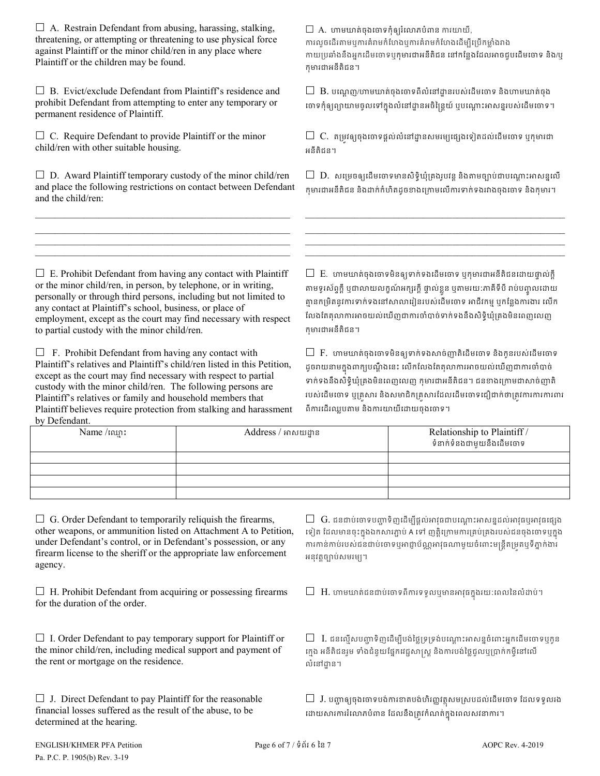$\Box$  A. Restrain Defendant from abusing, harassing, stalking, threatening, or attempting or threatening to use physical force against Plaintiff or the minor child/ren in any place where Plaintiff or the children may be found.

 $\Box$  B. Evict/exclude Defendant from Plaintiff's residence and prohibit Defendant from attempting to enter any temporary or permanent residence of Plaintiff.

 $\Box$  C. Require Defendant to provide Plaintiff or the minor child/ren with other suitable housing.

 $\square$  D. Award Plaintiff temporary custody of the minor child/ren and place the following restrictions on contact between Defendant and the child/ren:

 $\mathcal{L}_\text{max}$  and  $\mathcal{L}_\text{max}$  and  $\mathcal{L}_\text{max}$  and  $\mathcal{L}_\text{max}$  and  $\mathcal{L}_\text{max}$ \_\_\_\_\_\_\_\_\_\_\_\_\_\_\_\_\_\_\_\_\_\_\_\_\_\_\_\_\_\_\_\_\_\_\_\_\_\_\_\_\_\_\_\_\_\_\_\_\_\_\_\_ \_\_\_\_\_\_\_\_\_\_\_\_\_\_\_\_\_\_\_\_\_\_\_\_\_\_\_\_\_\_\_\_\_\_\_\_\_\_\_\_\_\_\_\_\_\_\_\_\_\_\_\_ \_\_\_\_\_\_\_\_\_\_\_\_\_\_\_\_\_\_\_\_\_\_\_\_\_\_\_\_\_\_\_\_\_\_\_\_\_\_\_\_\_\_\_\_\_\_\_\_\_\_\_\_  $\square$  A. ហាមឃាត់ចុងចោទកុំឲ្យរំលោភបំពាន ការយាយី, ការលួចដើរតាមឬការគំរាមកំហែងឬការគំរាមកំហែងដើម្បីប្រើកម្លាំងរាង កាយប្រឆាំងនឹងអ្នកដើមចោទឬកុមារជាអនីតិជន នៅកន្លែងដែលអាចជួបដើមចោទ និង/ឬ កុមារជាអនីតិជន។

 $\Box$   $\, {\bf B}.$  បណ្តេញ/ហាមឃាត់ចុងចោទពីលំនៅដ្ឋានរបស់ដើមចោទ និងហាមឃាត់ចុង ចោទកុឲ្យព្យាយាមចូលទោក្នុងលំនោដ្ឋានអចិន្ត្រេយ ឬបណ្តោះអាសន្នរបស់ដើមចោទ។

 $\Box\,$  C. តម្រវឲ្យចុងចោទផ្តល់លំនៅដ្ឋានសមរម្យផ្សេងទៀតដល់ដើមចោទ ឬកុមារជា អនីតិជន។

 $\square$  D. សម្រេចឲ្យដើមចោទមានសិទិ្ $្យគ្រងរូបវន្ត និងតាមច្បាប់ជាបណ្តោះអាសន្នលើ$ កុមារជាអនីតិជន និងដក់កំហិតដូចខងេ្រកមេលករទក់ទងរវងចុងេចទ និងកុមារ។

 $\mathcal{L}_\text{max}$  and  $\mathcal{L}_\text{max}$  and  $\mathcal{L}_\text{max}$  and  $\mathcal{L}_\text{max}$  and  $\mathcal{L}_\text{max}$ \_\_\_\_\_\_\_\_\_\_\_\_\_\_\_\_\_\_\_\_\_\_\_\_\_\_\_\_\_\_\_\_\_\_\_\_\_\_\_\_\_\_\_\_\_\_\_\_\_\_\_\_\_  $\mathcal{L}_\text{max}$  and the set of the set of the set of the set of the set of the set of the set of the set of the set of \_\_\_\_\_\_\_\_\_\_\_\_\_\_\_\_\_\_\_\_\_\_\_\_\_\_\_\_\_\_\_\_\_\_\_\_\_\_\_\_\_\_\_\_\_\_\_\_\_\_\_\_\_

 $\Box$  E. Prohibit Defendant from having any contact with Plaintiff or the minor child/ren, in person, by telephone, or in writing, personally or through third persons, including but not limited to any contact at Plaintiff's school, business, or place of employment, except as the court may find necessary with respect to partial custody with the minor child/ren.

 $\Box$  F. Prohibit Defendant from having any contact with Plaintiff's relatives and Plaintiff's child/ren listed in this Petition, except as the court may find necessary with respect to partial custody with the minor child/ren. The following persons are Plaintiff's relatives or family and household members that Plaintiff believes require protection from stalking and harassment by Defendant.

 $\Box$  E. ហាមឃាត់ចុងចោទមិនឲ្យទាក់ទងដើមចោទ ឬកុមារជាអនីតិជនដោយផ្ទាល់ក្ដី តាមទូរសព្ទក្ដ ឬជាលាយលក្ខណអក្សរក្ដ ផ្ទាលខ្លួន ឬតាមរយៈភាគទប រាបបញ្ចូលដោយ គ្មានកម្រិតនូវការទាក់ទងនៅសាលារៀនរបស់ដើមចោទ អាជីវកម្ម ឬកន្លែងការងារ លើក លែងតែតុលាការអាចយល់ឃើញជាការចាំបាច់ទាក់ទងនឹងសិទិ្ធឃុំគ្រងមិនពេញលេញ កុមារជាអនីតិជន។

 $\Box$  F. ហាមឃាត់ចុងចោទមិនឲ្យទាក់ទងសាច់ញាតិដើមចោទ និងកូនរបស់ដើមចោទ ដូចរាយនាមក្នុង៣ក្យបណ្តូងនេះ លេកលេងគេតុលាការអាចយល់យេញជាការចាបាច ទាក់ទងនឹងសិទ្ធិឃុំគ្រងមិនពេញលេញ កុមារជាអនីតិជន។ ជនខាងក្រោមជាសាច់ញាតិ របស់ដើមចោទ ឬគ្រសារ និងសមាជិកគ្រសារដែលដើមចោទជឿជាក់ថាត្រូវការការការពារ ពីការដើរឈ្លបតាម និងការយាយីដោយចុងចោទ។

| P          |                     |                                                         |  |
|------------|---------------------|---------------------------------------------------------|--|
| Name/tnin: | Address / អាសយដ្ឋាន | Relationship to Plaintiff /<br>ទំនាក់ទំនងជាមួយនឹងដើមចោទ |  |
|            |                     |                                                         |  |
|            |                     |                                                         |  |
|            |                     |                                                         |  |
|            |                     |                                                         |  |

 $\Box$  G. Order Defendant to temporarily reliquish the firearms, other weapons, or ammunition listed on Attachment A to Petition, under Defendant's control, or in Defendant's possession, or any firearm license to the sheriff or the appropriate law enforcement agency.

 $\Box$  H. Prohibit Defendant from acquiring or possessing firearms for the duration of the order.

 $\Box$  I. Order Defendant to pay temporary support for Plaintiff or the minor child/ren, including medical support and payment of the rent or mortgage on the residence.

 $\Box$  J. Direct Defendant to pay Plaintiff for the reasonable financial losses suffered as the result of the abuse, to be determined at the hearing.

 $\Box~\operatorname{G}.$  ជនជាប់ចោទបញ្ហាទិញដើម្បីផ្តល់អាវុធជាបណ្តោះអាសន្នដល់អាវុធឬអាវុធផ្សេង ទៀត ដែលមានចុះក្នុងឯកសារភ្ជាប់ A ទៅ ញត្តក្រោមការគ្រប់គ្រងរបស់ជនចុងចោទឬក្នុង ការកាន់កាប់របស់ជនជាប់ចោទឬអាជ្ញាប័ណ្ណអាវុធណាមួយចំពោះមន្ត្រីតម្រតឬទីភ្នាក់ងារ អនុវត្តច្បាប់សមរម្យ។

 $\Box~$   $\rm H.$  ហាមឃាត់ជនជាប់ចោទពីការទទូលឬមានអាវុធក្នុងរយ:ពេលនៃលំដាប់។

 $\Box$  I. ជនល្មើសបញ្ហាទិញដើម្បីបង់ថ្លៃទ្រទ្រង់បណ្តោះអាសន្នចំពោះអ្នកដើមចោទឬកូន ក្មេង អនីតិជនរួម ទាំងជំនួយផ្នែកវេជ្ជសាស្ត្រ និងការបង់ថ្លៃជួលឬប្រាក់កម្ចីនៅលើ លំនៅដ្ឋាន។

 $\Box$   $\,$  J. បញ្ហាឲ្យចុងចោទបង់ការខាតបង់ហិរញ្ញវត្ថុសមស្របដល់ដើមចោទ ដែលទទួលរង ដោយសារការរលោភបំពន ដែលនឹងត្រូវកំណត់ក្នុងពេលសវនាការ។